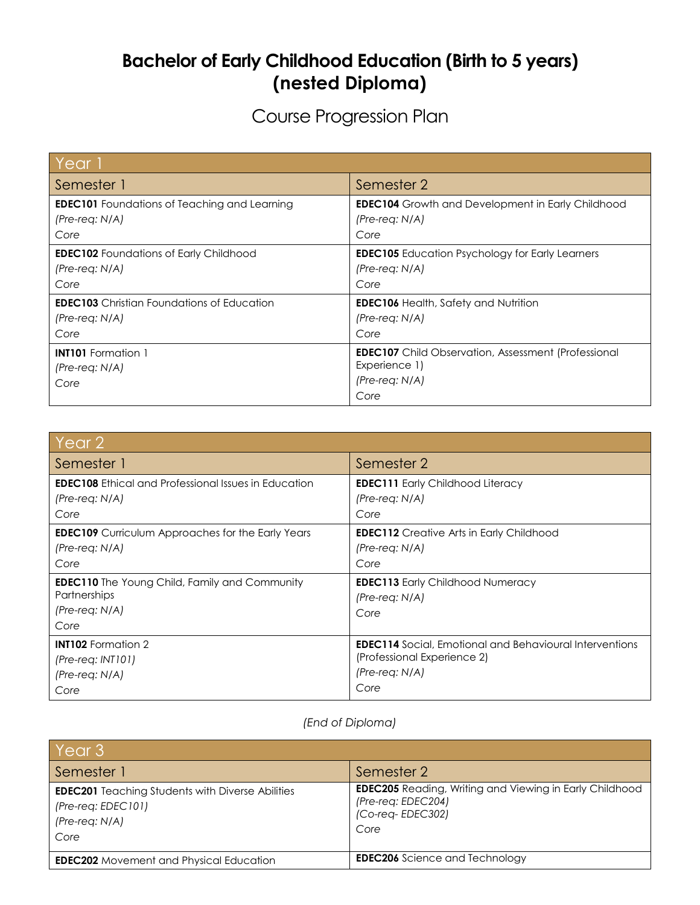## **Bachelor of Early Childhood Education (Birth to 5 years) (nested Diploma)**

Course Progression Plan

| Year 1                                              |                                                            |
|-----------------------------------------------------|------------------------------------------------------------|
| Semester 1                                          | Semester 2                                                 |
| <b>EDEC101</b> Foundations of Teaching and Learning | <b>EDEC104</b> Growth and Development in Early Childhood   |
| $(Pre-reg: N/A)$                                    | $(Pre-reg: N/A)$                                           |
| Core                                                | Core                                                       |
| <b>EDEC102</b> Foundations of Early Childhood       | <b>EDEC105</b> Education Psychology for Early Learners     |
| $(Pre-reg: N/A)$                                    | $(Pre-reg: N/A)$                                           |
| Core                                                | Core                                                       |
| <b>EDEC103</b> Christian Foundations of Education   | <b>EDEC106</b> Health, Safety and Nutrition                |
| $(Pre-reg: N/A)$                                    | $(Pre-reg: N/A)$                                           |
| Core                                                | Core                                                       |
| <b>INT101</b> Formation 1                           | <b>EDEC107</b> Child Observation, Assessment (Professional |
| $(Pre-reg: N/A)$                                    | Experience 1)                                              |
| Core                                                | (Pre-req: N/A)                                             |
|                                                     | Core                                                       |

| Year 2                                                                                                |                                                                     |
|-------------------------------------------------------------------------------------------------------|---------------------------------------------------------------------|
| Semester 1                                                                                            | Semester 2                                                          |
| <b>EDEC108</b> Ethical and Professional Issues in Education                                           | <b>EDEC111</b> Early Childhood Literacy                             |
| $(Pre-reg: N/A)$                                                                                      | $(Pre-reg: N/A)$                                                    |
| Core                                                                                                  | Core                                                                |
| <b>EDEC109</b> Curriculum Approaches for the Early Years                                              | <b>EDEC112</b> Creative Arts in Early Childhood                     |
| $(Pre-reg: N/A)$                                                                                      | $(Pre-reg: N/A)$                                                    |
| Core                                                                                                  | Core                                                                |
| <b>EDEC110</b> The Young Child, Family and Community<br><b>Partnerships</b><br>(Pre-req: N/A)<br>Core | <b>EDEC113</b> Early Childhood Numeracy<br>$(Pre-reg: N/A)$<br>Core |
| <b>INT102</b> Formation 2                                                                             | <b>EDEC114</b> Social, Emotional and Behavioural Interventions      |
| (Pre-req: INT101)                                                                                     | (Professional Experience 2)                                         |
| $(Pre-reg: N/A)$                                                                                      | $(Pre-reg: N/A)$                                                    |
| Core                                                                                                  | Core                                                                |

## *(End of Diploma)*

| Year 3                                                                                                      |                                                                                                                  |  |
|-------------------------------------------------------------------------------------------------------------|------------------------------------------------------------------------------------------------------------------|--|
| Semester 1                                                                                                  | Semester 2                                                                                                       |  |
| <b>EDEC201</b> Teaching Students with Diverse Abilities<br>$(Pre-reg: EDEC101)$<br>$(Pre-reg: N/A)$<br>Core | <b>EDEC205</b> Reading, Writing and Viewing in Early Childhood<br>(Pre-req: EDEC204)<br>(Co-req-EDEC302)<br>Core |  |
| <b>EDEC202</b> Movement and Physical Education                                                              | <b>EDEC206</b> Science and Technology                                                                            |  |